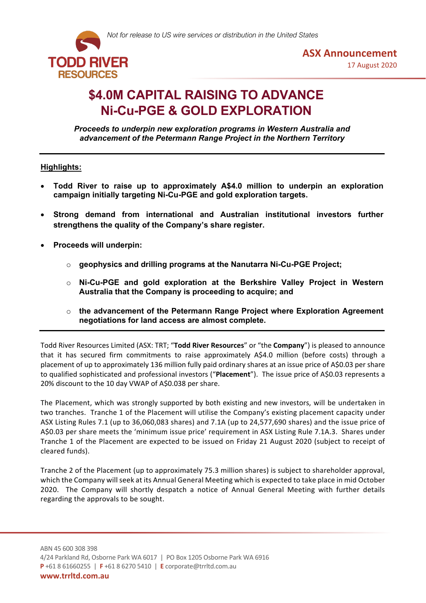



# **\$4.0M CAPITAL RAISING TO ADVANCE Ni-Cu-PGE & GOLD EXPLORATION**

*Proceeds to underpin new exploration programs in Western Australia and advancement of the Petermann Range Project in the Northern Territory*

# **Highlights:**

- **Todd River to raise up to approximately A\$4.0 million to underpin an exploration campaign initially targeting Ni-Cu-PGE and gold exploration targets.**
- **Strong demand from international and Australian institutional investors further strengthens the quality of the Company's share register.**
- **Proceeds will underpin:**
	- o **geophysics and drilling programs at the Nanutarra Ni-Cu-PGE Project;**
	- o **Ni-Cu-PGE and gold exploration at the Berkshire Valley Project in Western Australia that the Company is proceeding to acquire; and**
	- o **the advancement of the Petermann Range Project where Exploration Agreement negotiations for land access are almost complete.**

Todd River Resources Limited (ASX: TRT; "**Todd River Resources**" or "the **Company**") is pleased to announce that it has secured firm commitments to raise approximately A\$4.0 million (before costs) through a placement of up to approximately 136 million fully paid ordinary shares at an issue price of A\$0.03 per share to qualified sophisticated and professional investors ("**Placement**"). The issue price of A\$0.03 represents a 20% discount to the 10 day VWAP of A\$0.038 per share.

The Placement, which was strongly supported by both existing and new investors, will be undertaken in two tranches. Tranche 1 of the Placement will utilise the Company's existing placement capacity under ASX Listing Rules 7.1 (up to 36,060,083 shares) and 7.1A (up to 24,577,690 shares) and the issue price of A\$0.03 per share meets the 'minimum issue price' requirement in ASX Listing Rule 7.1A.3. Shares under Tranche 1 of the Placement are expected to be issued on Friday 21 August 2020 (subject to receipt of cleared funds).

Tranche 2 of the Placement (up to approximately 75.3 million shares) is subject to shareholder approval, which the Company will seek at its Annual General Meeting which is expected to take place in mid October 2020. The Company will shortly despatch a notice of Annual General Meeting with further details regarding the approvals to be sought.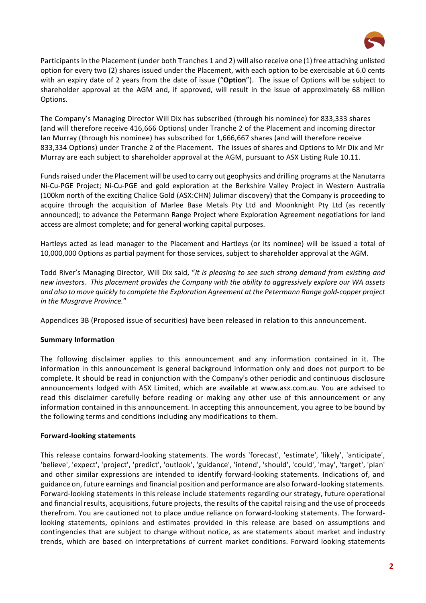

Participants in the Placement (under both Tranches 1 and 2) will also receive one (1) free attaching unlisted option for every two (2) shares issued under the Placement, with each option to be exercisable at 6.0 cents with an expiry date of 2 years from the date of issue ("**Option**"). The issue of Options will be subject to shareholder approval at the AGM and, if approved, will result in the issue of approximately 68 million Options.

The Company's Managing Director Will Dix has subscribed (through his nominee) for 833,333 shares (and will therefore receive 416,666 Options) under Tranche 2 of the Placement and incoming director Ian Murray (through his nominee) has subscribed for 1,666,667 shares (and will therefore receive 833,334 Options) under Tranche 2 of the Placement. The issues of shares and Options to Mr Dix and Mr Murray are each subject to shareholder approval at the AGM, pursuant to ASX Listing Rule 10.11.

Funds raised under the Placement will be used to carry out geophysics and drilling programs at the Nanutarra Ni-Cu-PGE Project; Ni-Cu-PGE and gold exploration at the Berkshire Valley Project in Western Australia (100km north of the exciting Chalice Gold (ASX:CHN) Julimar discovery) that the Company is proceeding to acquire through the acquisition of Marlee Base Metals Pty Ltd and Moonknight Pty Ltd (as recently announced); to advance the Petermann Range Project where Exploration Agreement negotiations for land access are almost complete; and for general working capital purposes.

Hartleys acted as lead manager to the Placement and Hartleys (or its nominee) will be issued a total of 10,000,000 Options as partial payment for those services, subject to shareholder approval at the AGM.

Todd River's Managing Director, Will Dix said, "*It is pleasing to see such strong demand from existing and new investors. This placement provides the Company with the ability to aggressively explore our WA assets and also to move quickly to complete the Exploration Agreement at the Petermann Range gold-copper project in the Musgrave Province.*"

Appendices 3B (Proposed issue of securities) have been released in relation to this announcement.

# **Summary Information**

The following disclaimer applies to this announcement and any information contained in it. The information in this announcement is general background information only and does not purport to be complete. It should be read in conjunction with the Company's other periodic and continuous disclosure announcements lodged with ASX Limited, which are available at www.asx.com.au. You are advised to read this disclaimer carefully before reading or making any other use of this announcement or any information contained in this announcement. In accepting this announcement, you agree to be bound by the following terms and conditions including any modifications to them.

## **Forward-looking statements**

This release contains forward-looking statements. The words 'forecast', 'estimate', 'likely', 'anticipate', 'believe', 'expect', 'project', 'predict', 'outlook', 'guidance', 'intend', 'should', 'could', 'may', 'target', 'plan' and other similar expressions are intended to identify forward-looking statements. Indications of, and guidance on, future earnings and financial position and performance are also forward-looking statements. Forward-looking statements in this release include statements regarding our strategy, future operational and financial results, acquisitions, future projects, the results of the capital raising and the use of proceeds therefrom. You are cautioned not to place undue reliance on forward-looking statements. The forwardlooking statements, opinions and estimates provided in this release are based on assumptions and contingencies that are subject to change without notice, as are statements about market and industry trends, which are based on interpretations of current market conditions. Forward looking statements